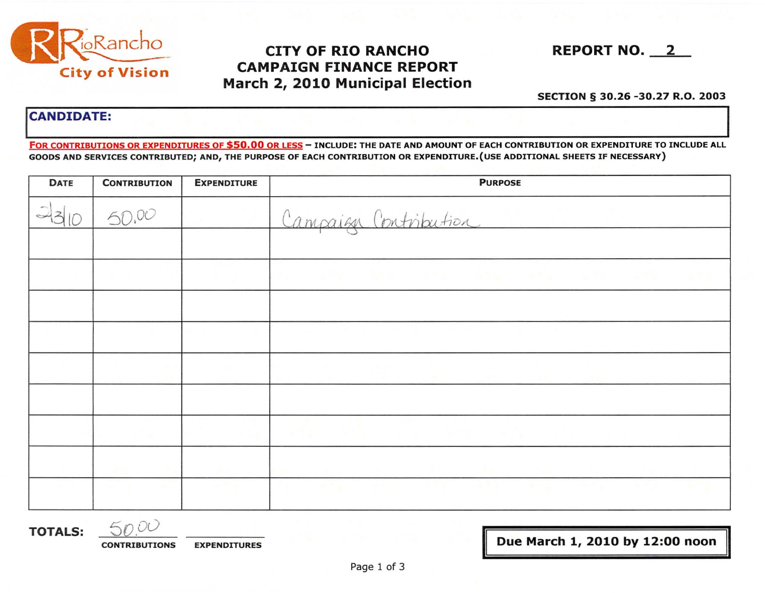

## **CITY OF RIO RANCHO CAMPAIGN FINANCE REPORT** March 2, 2010 Municipal Election

**REPORT NO. 2** 

#### SECTION § 30.26 -30.27 R.O. 2003

### **CANDIDATE:**

FOR CONTRIBUTIONS OR EXPENDITURES OF \$50.00 OR LESS - INCLUDE: THE DATE AND AMOUNT OF EACH CONTRIBUTION OR EXPENDITURE TO INCLUDE ALL GOODS AND SERVICES CONTRIBUTED; AND, THE PURPOSE OF EACH CONTRIBUTION OR EXPENDITURE. (USE ADDITIONAL SHEETS IF NECESSARY)

| <b>DATE</b> | <b>CONTRIBUTION</b> | <b>EXPENDITURE</b>         | <b>PURPOSE</b>                                                                                                                                             |
|-------------|---------------------|----------------------------|------------------------------------------------------------------------------------------------------------------------------------------------------------|
|             | 50,00               |                            | Campaign Contribution                                                                                                                                      |
|             |                     |                            | a kalendari kota wa kota kwa kwa kuta kwa                                                                                                                  |
|             |                     |                            |                                                                                                                                                            |
|             |                     |                            |                                                                                                                                                            |
|             |                     | and the state of the state | State State Corp.<br>アールきょう アルチェーン<br>the state of the state of the state of the state of the state of the state of the state of the state of the state of |
|             |                     | <b>RETAIL</b>              | the first control of the control of the control of the control of the control of<br>man and all the contract of the                                        |
|             | and the company     | <b>Contract</b>            |                                                                                                                                                            |

**TOTALS:** 

50.00 **EXPENDITURES CONTRIBUTIONS** 

Due March 1, 2010 by 12:00 noon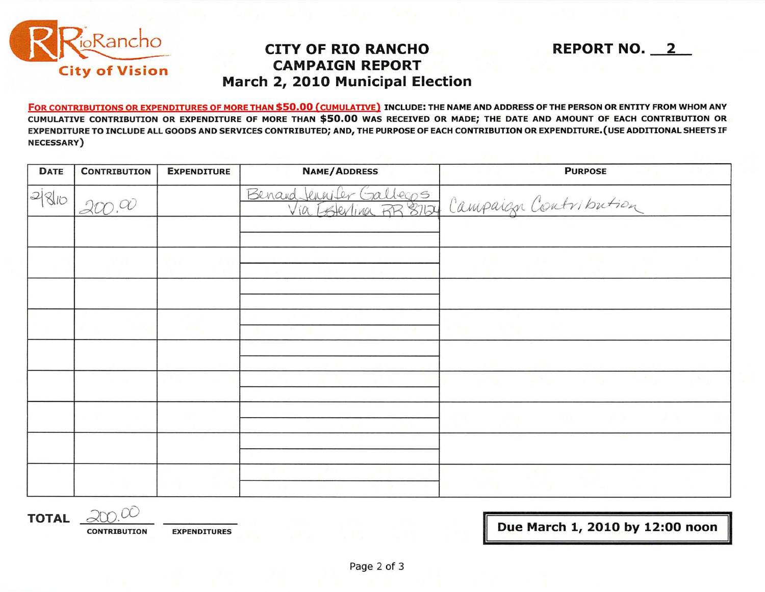

# **CAMPAIGN REPORT CITY OF RIO RANCHO March 2, 2010 Municipal Election**

FOR CONTRIBUTIONS OR EXPENDITURES OF MORE THAN \$50.00 (CUMULATIVE) INCLUDE: THE NAME AND ADDRESS OFTHE PERSON OR ENTITY FROM WHOM ANY CUMULATIVE CONTRIBUTION OR EXPENDITURE OF MORE THAN \$50.00 WAS RECEIVED OR MADE; THE DATE AND AMOUNT OF EACH CONTRIBUTION OR EXPENDITURE TO INCLUDE ALL GOODS AND SERVICES CONTRIBUTED; AND, THE PURPOSE OF EACH CONTRIBUTION OR EXPENDITURE.(USE ADDITIONAL SHEETS IF **NECESSARY**)

| <b>DATE</b> | <b>CONTRIBUTION</b>    | <b>EXPENDITURE</b> | <b>NAME/ADDRESS</b> | <b>PURPOSE</b><br>and the company of the ac-   |
|-------------|------------------------|--------------------|---------------------|------------------------------------------------|
| 280         | $\gamma_{\mathcal{D}}$ |                    |                     | Benand Jennifer Galleges Campaign Contribution |
|             |                        |                    |                     |                                                |
|             |                        |                    |                     | <b>FOR THE REPORT OF STATE AND RESIDENT</b>    |
|             |                        |                    |                     |                                                |
|             |                        | The Control        |                     |                                                |
|             |                        |                    |                     |                                                |
|             |                        |                    |                     | a Tao sa Palistan (1999) a Tao sa Tao          |
|             |                        |                    |                     |                                                |
|             |                        |                    |                     |                                                |
|             |                        |                    |                     | the contract of the contract of the            |

**TOTAL**  $\partial\theta$ 

**CONTRIBUTION EXPENDITURES** 

**Due March 1, 2010 by 12:00 noon** 

**REPORT NO. 2**